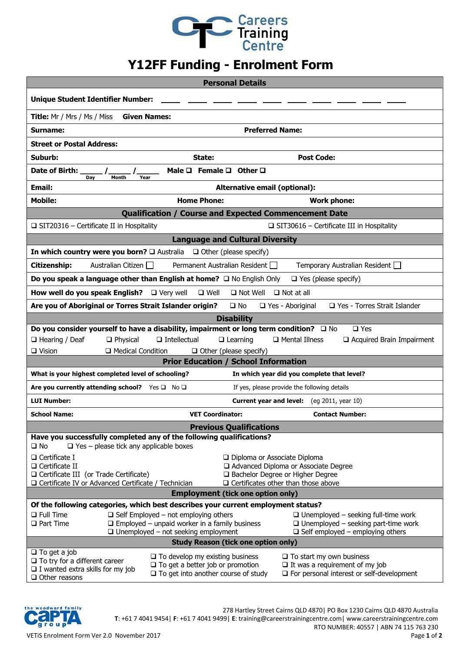

## **Y12FF Funding - Enrolment Form**

| <b>Personal Details</b>                                                                                                                                                                                                                 |  |  |  |  |  |  |  |
|-----------------------------------------------------------------------------------------------------------------------------------------------------------------------------------------------------------------------------------------|--|--|--|--|--|--|--|
| <b>Unique Student Identifier Number:</b>                                                                                                                                                                                                |  |  |  |  |  |  |  |
| Title: Mr / Mrs / Ms / Miss<br><b>Given Names:</b>                                                                                                                                                                                      |  |  |  |  |  |  |  |
| <b>Preferred Name:</b><br>Surname:                                                                                                                                                                                                      |  |  |  |  |  |  |  |
| <b>Street or Postal Address:</b>                                                                                                                                                                                                        |  |  |  |  |  |  |  |
| Suburb:<br>State:<br><b>Post Code:</b>                                                                                                                                                                                                  |  |  |  |  |  |  |  |
| Male Q Female Q Other Q<br><b>Date of Birth:</b><br>Day<br><b>Month</b><br>Year                                                                                                                                                         |  |  |  |  |  |  |  |
| <b>Email:</b><br><b>Alternative email (optional):</b>                                                                                                                                                                                   |  |  |  |  |  |  |  |
| <b>Mobile:</b><br><b>Home Phone:</b><br><b>Work phone:</b>                                                                                                                                                                              |  |  |  |  |  |  |  |
| <b>Qualification / Course and Expected Commencement Date</b>                                                                                                                                                                            |  |  |  |  |  |  |  |
| $\Box$ SIT20316 - Certificate II in Hospitality<br>$\Box$ SIT30616 - Certificate III in Hospitality                                                                                                                                     |  |  |  |  |  |  |  |
| <b>Language and Cultural Diversity</b>                                                                                                                                                                                                  |  |  |  |  |  |  |  |
| In which country were you born? $\square$ Australia<br>$\Box$ Other (please specify)                                                                                                                                                    |  |  |  |  |  |  |  |
| Permanent Australian Resident<br>Citizenship:<br>Australian Citizen<br>Temporary Australian Resident □                                                                                                                                  |  |  |  |  |  |  |  |
| Do you speak a language other than English at home? $\Box$ No English Only<br>$\Box$ Yes (please specify)                                                                                                                               |  |  |  |  |  |  |  |
| How well do you speak English? $\Box$ Very well $\Box$ Well<br>$\Box$ Not Well<br>$\Box$ Not at all                                                                                                                                     |  |  |  |  |  |  |  |
| $\square$ No<br>□ Yes - Torres Strait Islander<br>Are you of Aboriginal or Torres Strait Islander origin?<br>$\Box$ Yes - Aboriginal                                                                                                    |  |  |  |  |  |  |  |
| <b>Disability</b>                                                                                                                                                                                                                       |  |  |  |  |  |  |  |
| Do you consider yourself to have a disability, impairment or long term condition? $\Box$ No<br>$\square$ Yes                                                                                                                            |  |  |  |  |  |  |  |
| $\Box$ Hearing / Deaf<br>$\Box$ Intellectual<br>$\Box$ Mental Illness<br>$\Box$ Physical<br>$\Box$ Learning<br>$\Box$ Acquired Brain Impairment                                                                                         |  |  |  |  |  |  |  |
| $\Box$ Other (please specify)<br>$\square$ Vision<br>□ Medical Condition<br><b>Prior Education / School Information</b>                                                                                                                 |  |  |  |  |  |  |  |
| What is your highest completed level of schooling?<br>In which year did you complete that level?                                                                                                                                        |  |  |  |  |  |  |  |
| Are you currently attending school? Yes □ No □<br>If yes, please provide the following details                                                                                                                                          |  |  |  |  |  |  |  |
| <b>LUI Number:</b><br><b>Current year and level:</b> (eg 2011, year 10)                                                                                                                                                                 |  |  |  |  |  |  |  |
| <b>School Name:</b><br><b>VET Coordinator:</b><br><b>Contact Number:</b>                                                                                                                                                                |  |  |  |  |  |  |  |
| <b>Previous Qualifications</b>                                                                                                                                                                                                          |  |  |  |  |  |  |  |
| Have you successfully completed any of the following qualifications?                                                                                                                                                                    |  |  |  |  |  |  |  |
| $\square$ No<br>$\Box$ Yes – please tick any applicable boxes                                                                                                                                                                           |  |  |  |  |  |  |  |
| $\Box$ Certificate I<br>□ Diploma or Associate Diploma<br>Advanced Diploma or Associate Degree<br>$\Box$ Certificate II                                                                                                                 |  |  |  |  |  |  |  |
| □ Bachelor Degree or Higher Degree<br>$\Box$ Certificate III (or Trade Certificate)                                                                                                                                                     |  |  |  |  |  |  |  |
| $\Box$ Certificates other than those above<br>□ Certificate IV or Advanced Certificate / Technician                                                                                                                                     |  |  |  |  |  |  |  |
| <b>Employment (tick one option only)</b>                                                                                                                                                                                                |  |  |  |  |  |  |  |
| Of the following categories, which best describes your current employment status?                                                                                                                                                       |  |  |  |  |  |  |  |
| $\Box$ Full Time<br>$\Box$ Self Employed – not employing others<br>$\Box$ Unemployed – seeking full-time work<br>$\Box$ Employed – unpaid worker in a family business<br>$\Box$ Unemployed – seeking part-time work<br>$\Box$ Part Time |  |  |  |  |  |  |  |
| $\Box$ Unemployed - not seeking employment<br>$\Box$ Self employed – employing others                                                                                                                                                   |  |  |  |  |  |  |  |
| <b>Study Reason (tick one option only)</b>                                                                                                                                                                                              |  |  |  |  |  |  |  |
| $\Box$ To get a job<br>$\Box$ To develop my existing business<br>$\Box$ To start my own business                                                                                                                                        |  |  |  |  |  |  |  |
| $\Box$ To try for a different career<br>$\Box$ To get a better job or promotion<br>$\Box$ It was a requirement of my job<br>$\Box$ I wanted extra skills for my job                                                                     |  |  |  |  |  |  |  |
| $\Box$ To get into another course of study<br>$\square$ For personal interest or self-development<br>$\Box$ Other reasons                                                                                                               |  |  |  |  |  |  |  |



278 Hartley Street Cairns QLD 4870| PO Box 1230 Cairns QLD 4870 Australia **T**: +61 7 4041 9454| **F**: +61 7 4041 9499| **E**: training@careerstrainingcentre.com| www.careerstrainingcentre.com RTO NUMBER: 40557 | ABN 74 115 763 230<br>Page 1 of 2